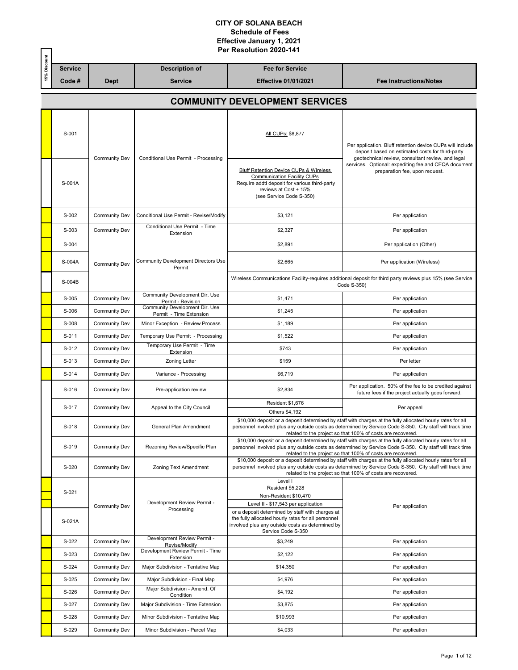|               | ţ                                     |                | Per Resolution 2020-141 |                       |                             |                               |  |  |  |
|---------------|---------------------------------------|----------------|-------------------------|-----------------------|-----------------------------|-------------------------------|--|--|--|
| å             |                                       | <b>Service</b> |                         | <b>Description of</b> | <b>Fee for Service</b>      |                               |  |  |  |
|               | 15%                                   | Code #         | <b>Dept</b>             | <b>Service</b>        | <b>Effective 01/01/2021</b> | <b>Fee Instructions/Notes</b> |  |  |  |
|               | <b>COMMUNITY DEVELOPMENT SERVICES</b> |                |                         |                       |                             |                               |  |  |  |
| - -- -<br>$ $ |                                       |                |                         |                       |                             |                               |  |  |  |

| S-001<br>S-001A | <b>Community Dev</b> | Conditional Use Permit - Processing                       | All CUPs: \$8,877<br>Bluff Retention Device CUPs & Wireless<br>Communication Facility CUPs<br>Require addtl deposit for various third-party<br>reviews at Cost + 15%<br>(see Service Code S-350) | Per application. Bluff retention device CUPs will include<br>deposit based on estimated costs for third-party<br>geotechnical review, consultant review, and legal<br>services. Optional: expediting fee and CEQA document<br>preparation fee, upon request.                           |
|-----------------|----------------------|-----------------------------------------------------------|--------------------------------------------------------------------------------------------------------------------------------------------------------------------------------------------------|----------------------------------------------------------------------------------------------------------------------------------------------------------------------------------------------------------------------------------------------------------------------------------------|
| S-002           | <b>Community Dev</b> | Conditional Use Permit - Revise/Modify                    | \$3,121                                                                                                                                                                                          | Per application                                                                                                                                                                                                                                                                        |
| S-003           | <b>Community Dev</b> | Conditional Use Permit - Time<br>Extension                | \$2,327                                                                                                                                                                                          | Per application                                                                                                                                                                                                                                                                        |
| S-004           |                      |                                                           | \$2,891                                                                                                                                                                                          | Per application (Other)                                                                                                                                                                                                                                                                |
| S-004A          | <b>Community Dev</b> | Community Development Directors Use<br>Permit             | \$2,665                                                                                                                                                                                          | Per application (Wireless)                                                                                                                                                                                                                                                             |
| S-004B          |                      |                                                           |                                                                                                                                                                                                  | Wireless Communications Facility-requires additional deposit for third party reviews plus 15% (see Service<br>Code S-350)                                                                                                                                                              |
| S-005           | <b>Community Dev</b> | Community Development Dir. Use<br>Permit - Revision       | \$1,471                                                                                                                                                                                          | Per application                                                                                                                                                                                                                                                                        |
| S-006           | <b>Community Dev</b> | Community Development Dir. Use<br>Permit - Time Extension | \$1,245                                                                                                                                                                                          | Per application                                                                                                                                                                                                                                                                        |
| S-008           | <b>Community Dev</b> | Minor Exception - Review Process                          | \$1,189                                                                                                                                                                                          | Per application                                                                                                                                                                                                                                                                        |
| S-011           | <b>Community Dev</b> | Temporary Use Permit - Processing                         | \$1,522                                                                                                                                                                                          | Per application                                                                                                                                                                                                                                                                        |
| S-012           | <b>Community Dev</b> | Temporary Use Permit - Time<br>Extension                  | \$743                                                                                                                                                                                            | Per application                                                                                                                                                                                                                                                                        |
| S-013           | <b>Community Dev</b> | <b>Zoning Letter</b>                                      | \$159                                                                                                                                                                                            | Per letter                                                                                                                                                                                                                                                                             |
| S-014           | <b>Community Dev</b> | Variance - Processing                                     | \$6,719                                                                                                                                                                                          | Per application                                                                                                                                                                                                                                                                        |
| S-016           | <b>Community Dev</b> | Pre-application review                                    | \$2,834                                                                                                                                                                                          | Per application. 50% of the fee to be credited against<br>future fees if the project actually goes forward.                                                                                                                                                                            |
| S-017           | <b>Community Dev</b> | Appeal to the City Council                                | Resident \$1,676<br>Others \$4,192                                                                                                                                                               | Per appeal                                                                                                                                                                                                                                                                             |
| S-018           | <b>Community Dev</b> | General Plan Amendment                                    |                                                                                                                                                                                                  | \$10,000 deposit or a deposit determined by staff with charges at the fully allocated hourly rates for all<br>personnel involved plus any outside costs as determined by Service Code S-350. City staff will track time<br>related to the project so that 100% of costs are recovered. |
| S-019           | <b>Community Dev</b> | Rezoning Review/Specific Plan                             |                                                                                                                                                                                                  | \$10,000 deposit or a deposit determined by staff with charges at the fully allocated hourly rates for all<br>personnel involved plus any outside costs as determined by Service Code S-350. City staff will track time<br>related to the project so that 100% of costs are recovered. |
| S-020           | <b>Community Dev</b> | Zoning Text Amendment                                     |                                                                                                                                                                                                  | \$10,000 deposit or a deposit determined by staff with charges at the fully allocated hourly rates for all<br>personnel involved plus any outside costs as determined by Service Code S-350. City staff will track time<br>related to the project so that 100% of costs are recovered. |
| S-021           | Community Dev        | Development Review Permit -<br>Processing                 | Level I<br>Resident \$5,228<br>Non-Resident \$10,470<br>Level II - \$17,543 per application                                                                                                      | Per application                                                                                                                                                                                                                                                                        |
| S-021A          |                      |                                                           | or a deposit determined by staff with charges at<br>the fully allocated hourly rates for all personnel<br>involved plus any outside costs as determined by<br>Service Code S-350                 |                                                                                                                                                                                                                                                                                        |
| S-022           | <b>Community Dev</b> | Development Review Permit -<br>Revise/Modify              | \$3,249                                                                                                                                                                                          | Per application                                                                                                                                                                                                                                                                        |
| S-023           | <b>Community Dev</b> | Development Review Permit - Time<br>Extension             | \$2,122                                                                                                                                                                                          | Per application                                                                                                                                                                                                                                                                        |
| S-024           | <b>Community Dev</b> | Major Subdivision - Tentative Map                         | \$14,350                                                                                                                                                                                         | Per application                                                                                                                                                                                                                                                                        |
|                 |                      |                                                           | \$4,976                                                                                                                                                                                          | Per application                                                                                                                                                                                                                                                                        |
| S-025           | <b>Community Dev</b> | Major Subdivision - Final Map                             |                                                                                                                                                                                                  |                                                                                                                                                                                                                                                                                        |
| S-026           | <b>Community Dev</b> | Major Subdivision - Amend. Of<br>Condition                | \$4,192                                                                                                                                                                                          | Per application                                                                                                                                                                                                                                                                        |
| S-027           | <b>Community Dev</b> | Major Subdivision - Time Extension                        | \$3,875                                                                                                                                                                                          | Per application                                                                                                                                                                                                                                                                        |
| S-028           | <b>Community Dev</b> | Minor Subdivision - Tentative Map                         | \$10,993                                                                                                                                                                                         | Per application                                                                                                                                                                                                                                                                        |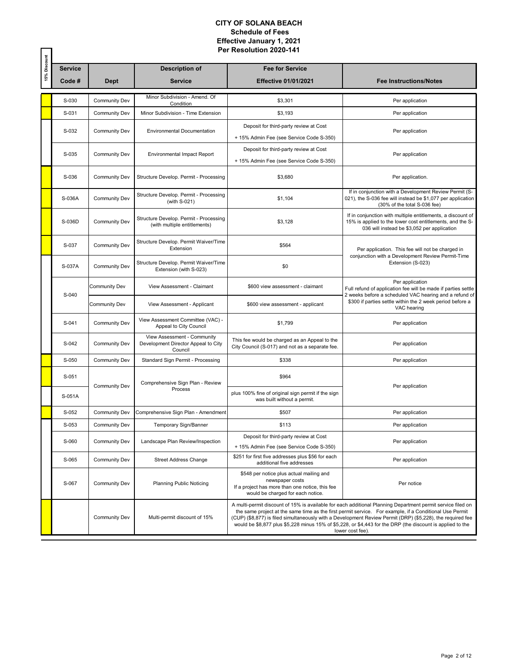|              |                |                      |                                                                               | Per Resolution 2020-141                                                                                                                             |                                                                                                                                                                                                                                                                                                                                                                                                                                                                        |  |  |  |  |
|--------------|----------------|----------------------|-------------------------------------------------------------------------------|-----------------------------------------------------------------------------------------------------------------------------------------------------|------------------------------------------------------------------------------------------------------------------------------------------------------------------------------------------------------------------------------------------------------------------------------------------------------------------------------------------------------------------------------------------------------------------------------------------------------------------------|--|--|--|--|
| 15% Discount | <b>Service</b> |                      | <b>Description of</b>                                                         | <b>Fee for Service</b>                                                                                                                              |                                                                                                                                                                                                                                                                                                                                                                                                                                                                        |  |  |  |  |
|              | Code#          | <b>Dept</b>          | <b>Service</b>                                                                | <b>Effective 01/01/2021</b>                                                                                                                         | <b>Fee Instructions/Notes</b>                                                                                                                                                                                                                                                                                                                                                                                                                                          |  |  |  |  |
|              | S-030          | <b>Community Dev</b> | Minor Subdivision - Amend. Of<br>Condition                                    | \$3,301                                                                                                                                             | Per application                                                                                                                                                                                                                                                                                                                                                                                                                                                        |  |  |  |  |
|              | S-031          | <b>Community Dev</b> | Minor Subdivision - Time Extension                                            | \$3,193                                                                                                                                             | Per application                                                                                                                                                                                                                                                                                                                                                                                                                                                        |  |  |  |  |
|              | S-032          | <b>Community Dev</b> | Environmental Documentation                                                   | Deposit for third-party review at Cost<br>+ 15% Admin Fee (see Service Code S-350)                                                                  | Per application                                                                                                                                                                                                                                                                                                                                                                                                                                                        |  |  |  |  |
|              | S-035          | <b>Community Dev</b> | <b>Environmental Impact Report</b>                                            | Deposit for third-party review at Cost<br>+ 15% Admin Fee (see Service Code S-350)                                                                  | Per application                                                                                                                                                                                                                                                                                                                                                                                                                                                        |  |  |  |  |
|              | S-036          | <b>Community Dev</b> | Structure Develop. Permit - Processing                                        | \$3,680                                                                                                                                             | Per application.                                                                                                                                                                                                                                                                                                                                                                                                                                                       |  |  |  |  |
|              | S-036A         | <b>Community Dev</b> | Structure Develop. Permit - Processing<br>(with S-021)                        | \$1,104                                                                                                                                             | If in conjunction with a Development Review Permit (S-<br>021), the S-036 fee will instead be \$1,077 per application<br>(30% of the total S-036 fee)                                                                                                                                                                                                                                                                                                                  |  |  |  |  |
|              | S-036D         | <b>Community Dev</b> | Structure Develop. Permit - Processing<br>(with multiple entitlements)        | \$3,128                                                                                                                                             | If in conjunction with multiple entitlements, a discount of<br>15% is applied to the lower cost entitlements, and the S-<br>036 will instead be \$3,052 per application                                                                                                                                                                                                                                                                                                |  |  |  |  |
|              | S-037          | <b>Community Dev</b> | Structure Develop. Permit Waiver/Time<br>Extension                            | \$564                                                                                                                                               | Per application. This fee will not be charged in                                                                                                                                                                                                                                                                                                                                                                                                                       |  |  |  |  |
|              | S-037A         | Community Dev        | Structure Develop. Permit Waiver/Time<br>Extension (with S-023)               | \$0                                                                                                                                                 | conjunction with a Development Review Permit-Time<br>Extension (S-023)                                                                                                                                                                                                                                                                                                                                                                                                 |  |  |  |  |
|              | S-040          | <b>Community Dev</b> | View Assessment - Claimant                                                    | \$600 view assessment - claimant                                                                                                                    | Per application<br>Full refund of application fee will be made if parties settle<br>2 weeks before a scheduled VAC hearing and a refund of                                                                                                                                                                                                                                                                                                                             |  |  |  |  |
|              |                | Community Dev        | View Assessment - Applicant                                                   | \$600 view assessment - applicant                                                                                                                   | \$300 if parties settle within the 2 week period before a<br>VAC hearing                                                                                                                                                                                                                                                                                                                                                                                               |  |  |  |  |
|              | S-041          | <b>Community Dev</b> | View Assessment Committee (VAC) -<br>Appeal to City Council                   | \$1,799                                                                                                                                             | Per application                                                                                                                                                                                                                                                                                                                                                                                                                                                        |  |  |  |  |
|              | S-042          | <b>Community Dev</b> | View Assessment - Community<br>Development Director Appeal to City<br>Council | This fee would be charged as an Appeal to the<br>City Council (S-017) and not as a separate fee.                                                    | Per application                                                                                                                                                                                                                                                                                                                                                                                                                                                        |  |  |  |  |
|              | S-050          | <b>Community Dev</b> | Standard Sign Permit - Processing                                             | \$338                                                                                                                                               | Per application                                                                                                                                                                                                                                                                                                                                                                                                                                                        |  |  |  |  |
|              | S-051          | Community Dev        | Comprehensive Sign Plan - Review                                              | \$964                                                                                                                                               | Per application                                                                                                                                                                                                                                                                                                                                                                                                                                                        |  |  |  |  |
|              | S-051A         |                      | Process                                                                       | plus 100% fine of original sign permit if the sign<br>was built without a permit.                                                                   |                                                                                                                                                                                                                                                                                                                                                                                                                                                                        |  |  |  |  |
|              | S-052          | Community Dev        | Comprehensive Sign Plan - Amendment                                           | \$507                                                                                                                                               | Per application                                                                                                                                                                                                                                                                                                                                                                                                                                                        |  |  |  |  |
|              | S-053          | Community Dev        | Temporary Sign/Banner                                                         | \$113                                                                                                                                               | Per application                                                                                                                                                                                                                                                                                                                                                                                                                                                        |  |  |  |  |
|              | S-060          | Community Dev        | Landscape Plan Review/Inspection                                              | Deposit for third-party review at Cost<br>+ 15% Admin Fee (see Service Code S-350)                                                                  | Per application                                                                                                                                                                                                                                                                                                                                                                                                                                                        |  |  |  |  |
|              | S-065          | Community Dev        | <b>Street Address Change</b>                                                  | \$251 for first five addresses plus \$56 for each<br>additional five addresses                                                                      | Per application                                                                                                                                                                                                                                                                                                                                                                                                                                                        |  |  |  |  |
|              | S-067          | <b>Community Dev</b> | <b>Planning Public Noticing</b>                                               | \$548 per notice plus actual mailing and<br>newspaper costs<br>If a project has more than one notice, this fee<br>would be charged for each notice. | Per notice                                                                                                                                                                                                                                                                                                                                                                                                                                                             |  |  |  |  |
|              |                | <b>Community Dev</b> | Multi-permit discount of 15%                                                  |                                                                                                                                                     | A multi-permit discount of 15% is available for each additional Planning Department permit service filed on<br>the same project at the same time as the first permit service. For example, if a Conditional Use Permit<br>(CUP) (\$8,877) is filed simultaneously with a Development Review Permit (DRP) (\$5,228), the required fee<br>would be \$8,877 plus \$5,228 minus 15% of \$5,228, or \$4,443 for the DRP (the discount is applied to the<br>lower cost fee). |  |  |  |  |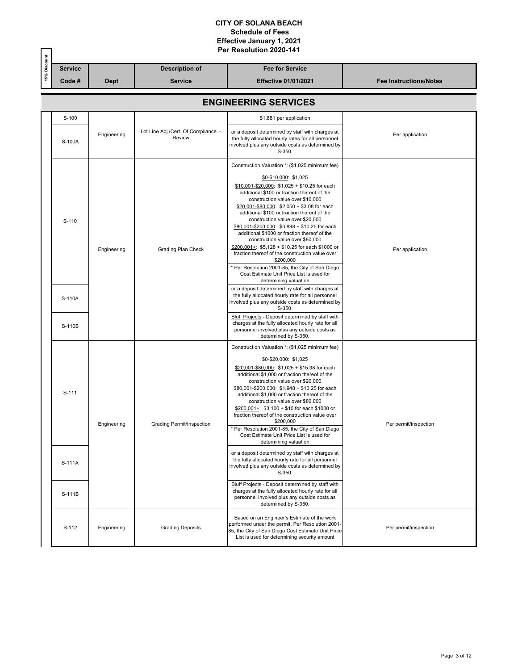|              |                 | Per Resolution 2020-141 |                                                |                                                                                                                                                                                                                                                                                                                                                                                                                                                                                                                                                                                                                                                                                                                                                                                |                               |  |  |  |
|--------------|-----------------|-------------------------|------------------------------------------------|--------------------------------------------------------------------------------------------------------------------------------------------------------------------------------------------------------------------------------------------------------------------------------------------------------------------------------------------------------------------------------------------------------------------------------------------------------------------------------------------------------------------------------------------------------------------------------------------------------------------------------------------------------------------------------------------------------------------------------------------------------------------------------|-------------------------------|--|--|--|
| 15% Discount | <b>Service</b>  |                         | <b>Description of</b>                          | <b>Fee for Service</b>                                                                                                                                                                                                                                                                                                                                                                                                                                                                                                                                                                                                                                                                                                                                                         |                               |  |  |  |
|              | Code #          | <b>Dept</b>             | <b>Service</b>                                 | <b>Effective 01/01/2021</b>                                                                                                                                                                                                                                                                                                                                                                                                                                                                                                                                                                                                                                                                                                                                                    | <b>Fee Instructions/Notes</b> |  |  |  |
|              |                 |                         |                                                | <b>ENGINEERING SERVICES</b>                                                                                                                                                                                                                                                                                                                                                                                                                                                                                                                                                                                                                                                                                                                                                    |                               |  |  |  |
|              | S-100           |                         |                                                | \$1,881 per application                                                                                                                                                                                                                                                                                                                                                                                                                                                                                                                                                                                                                                                                                                                                                        |                               |  |  |  |
|              | S-100A          | Engineering             | Lot Line Adj./Cert. Of Compliance. -<br>Review | or a deposit determined by staff with charges at<br>the fully allocated hourly rates for all personnel<br>involved plus any outside costs as determined by<br>S-350.                                                                                                                                                                                                                                                                                                                                                                                                                                                                                                                                                                                                           | Per application               |  |  |  |
|              | S-110           | Engineering             | Grading Plan Check                             | Construction Valuation *: (\$1,025 minimum fee)<br>\$0-\$10,000: \$1,025<br>$$10,001 - $20,000$ : $$1,025 + $10.25$ for each<br>additional \$100 or fraction thereof of the<br>construction value over \$10,000<br>$$20,001 - $80,000$ : $$2,050 + $3.08$ for each<br>additional \$100 or fraction thereof of the<br>construction value over \$20,000<br>\$80,001-\$200,000: \$3,898 + \$10.25 for each<br>additional \$1000 or fraction thereof of the<br>construction value over \$80,000<br>\$200,001+: \$5,128 + \$10.25 for each \$1000 or<br>fraction thereof of the construction value over<br>\$200,000<br>* Per Resolution 2001-85, the City of San Diego<br>Cost Estimate Unit Price List is used for<br>determining valuation                                       | Per application               |  |  |  |
|              | S-110A          |                         |                                                | or a deposit determined by staff with charges at<br>the fully allocated hourly rate for all personnel<br>involved plus any outside costs as determined by<br>S-350.<br>Bluff Projects - Deposit determined by staff with<br>charges at the fully allocated hourly rate for all                                                                                                                                                                                                                                                                                                                                                                                                                                                                                                 |                               |  |  |  |
|              | S-110B          |                         |                                                | personnel involved plus any outside costs as<br>determined by S-350.                                                                                                                                                                                                                                                                                                                                                                                                                                                                                                                                                                                                                                                                                                           |                               |  |  |  |
|              | S-111<br>S-111A | Engineering             | Grading Permit/Inspection                      | Construction Valuation *: (\$1,025 minimum fee)<br>$$0 - $20,000$ : \$1,025<br>\$20,001-\$80,000: \$1,025 + \$15.38 for each<br>additional \$1,000 or fraction thereof of the<br>construction value over \$20,000<br>$$80,001 - $200,000$ : $$1,948 + $10.25$ for each<br>additional \$1,000 or fraction thereof of the<br>construction value over \$80,000<br>$$200,001+$ : \$3,100 + \$10 for each \$1000 or<br>fraction thereof of the construction value over<br>\$200,000<br>* Per Resolution 2001-85, the City of San Diego<br>Cost Estimate Unit Price List is used for<br>determining valuation<br>or a deposit determined by staff with charges at<br>the fully allocated hourly rate for all personnel<br>involved plus any outside costs as determined by<br>S-350. | Per permit/inspection         |  |  |  |
|              | S-111B          |                         |                                                | Bluff Projects - Deposit determined by staff with<br>charges at the fully allocated hourly rate for all<br>personnel involved plus any outside costs as<br>determined by S-350.                                                                                                                                                                                                                                                                                                                                                                                                                                                                                                                                                                                                |                               |  |  |  |
|              | S-112           | Engineering             | <b>Grading Deposits</b>                        | Based on an Engineer's Estimate of the work<br>performed under the permit. Per Resolution 2001-<br>85, the City of San Diego Cost Estimate Unit Price<br>List is used for determining security amount                                                                                                                                                                                                                                                                                                                                                                                                                                                                                                                                                                          | Per permit/inspection         |  |  |  |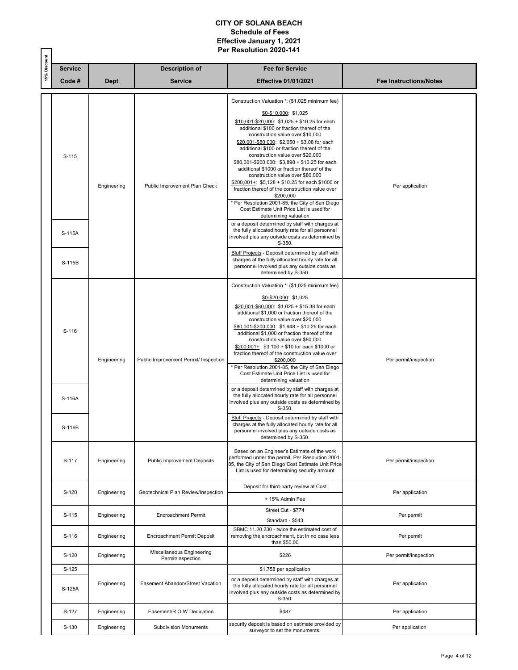|              |                | Per Resolution 2020-141 |                                                |                                                                                                                                                                                                                                                                                                                                                                                                                                                                                                                                                                                                                                                                                                                                     |                               |  |  |
|--------------|----------------|-------------------------|------------------------------------------------|-------------------------------------------------------------------------------------------------------------------------------------------------------------------------------------------------------------------------------------------------------------------------------------------------------------------------------------------------------------------------------------------------------------------------------------------------------------------------------------------------------------------------------------------------------------------------------------------------------------------------------------------------------------------------------------------------------------------------------------|-------------------------------|--|--|
| 15% Discount | <b>Service</b> |                         | <b>Description of</b>                          | <b>Fee for Service</b>                                                                                                                                                                                                                                                                                                                                                                                                                                                                                                                                                                                                                                                                                                              |                               |  |  |
|              | Code#          | <b>Dept</b>             | <b>Service</b>                                 | <b>Effective 01/01/2021</b>                                                                                                                                                                                                                                                                                                                                                                                                                                                                                                                                                                                                                                                                                                         | <b>Fee Instructions/Notes</b> |  |  |
|              | S-115          | Engineering             | Public Improvement Plan Check                  | Construction Valuation *: (\$1,025 minimum fee)<br>$$0-$10,000$ : \$1,025<br>\$10,001-\$20,000: \$1,025 + \$10.25 for each<br>additional \$100 or fraction thereof of the<br>construction value over \$10,000<br>\$20,001-\$80,000: \$2,050 + \$3.08 for each<br>additional \$100 or fraction thereof of the<br>construction value over \$20,000<br>\$80,001-\$200,000: \$3,898 + \$10.25 for each<br>additional \$1000 or fraction thereof of the<br>construction value over \$80,000<br>\$200,001+: \$5,128 + \$10.25 for each \$1000 or<br>fraction thereof of the construction value over<br>\$200,000<br>* Per Resolution 2001-85, the City of San Diego<br>Cost Estimate Unit Price List is used for<br>determining valuation | Per application               |  |  |
|              | S-115A         |                         |                                                | or a deposit determined by staff with charges at<br>the fully allocated hourly rate for all personnel<br>involved plus any outside costs as determined by<br>S-350.                                                                                                                                                                                                                                                                                                                                                                                                                                                                                                                                                                 |                               |  |  |
|              | S-115B         |                         |                                                | Bluff Projects - Deposit determined by staff with<br>charges at the fully allocated hourly rate for all<br>personnel involved plus any outside costs as<br>determined by S-350.                                                                                                                                                                                                                                                                                                                                                                                                                                                                                                                                                     |                               |  |  |
|              | S-116          | Engineering             | Public Improvement Permit/ Inspection          | Construction Valuation *: (\$1,025 minimum fee)<br>$$0 - $20,000$ : \$1,025<br>\$20,001-\$80,000: \$1,025 + \$15.38 for each<br>additional \$1,000 or fraction thereof of the<br>construction value over \$20,000<br>\$80,001-\$200,000: \$1,948 + \$10.25 for each<br>additional \$1,000 or fraction thereof of the<br>construction value over \$80,000<br>$$200,001+$ : \$3,100 + \$10 for each \$1000 or<br>fraction thereof of the construction value over<br>\$200,000<br>* Per Resolution 2001-85, the City of San Diego<br>Cost Estimate Unit Price List is used for<br>determining valuation                                                                                                                                | Per permit/inspection         |  |  |
|              | S-116A         |                         |                                                | or a deposit determined by staff with charges at<br>the fully allocated hourly rate for all personnel<br>involved plus any outside costs as determined by<br>S-350.<br>Bluff Projects - Deposit determined by staff with<br>charges at the fully allocated hourly rate for all                                                                                                                                                                                                                                                                                                                                                                                                                                                      |                               |  |  |
|              | S-116B         |                         |                                                | personnel involved plus any outside costs as<br>determined by S-350.                                                                                                                                                                                                                                                                                                                                                                                                                                                                                                                                                                                                                                                                |                               |  |  |
|              | S-117          | Engineering             | <b>Public Improvement Deposits</b>             | Based on an Engineer's Estimate of the work<br>performed under the permit. Per Resolution 2001-<br>85, the City of San Diego Cost Estimate Unit Price<br>List is used for determining security amount                                                                                                                                                                                                                                                                                                                                                                                                                                                                                                                               | Per permit/inspection         |  |  |
|              | S-120          | Engineering             | Geotechnical Plan Review/Inspection            | Deposit for third-party review at Cost<br>+ 15% Admin Fee                                                                                                                                                                                                                                                                                                                                                                                                                                                                                                                                                                                                                                                                           | Per application               |  |  |
|              | $S-115$        | Engineering             | Encroachment Permit                            | Street Cut - \$774<br>Standard - \$543                                                                                                                                                                                                                                                                                                                                                                                                                                                                                                                                                                                                                                                                                              | Per permit                    |  |  |
|              | S-116          | Engineering             | Encroachment Permit Deposit                    | SBMC 11.20.230 - twice the estimated cost of<br>removing the encroachment, but in no case less<br>than \$50.00                                                                                                                                                                                                                                                                                                                                                                                                                                                                                                                                                                                                                      | Per permit                    |  |  |
|              | S-120          | Engineering             | Miscellaneous Engineering<br>Permit/Inspection | \$226                                                                                                                                                                                                                                                                                                                                                                                                                                                                                                                                                                                                                                                                                                                               | Per permit/inspection         |  |  |
|              | S-125          |                         |                                                | \$1,758 per application                                                                                                                                                                                                                                                                                                                                                                                                                                                                                                                                                                                                                                                                                                             |                               |  |  |
|              | S-125A         | Engineering             | Easement Abandon/Street Vacation               | or a deposit determined by staff with charges at<br>the fully allocated hourly rate for all personnel<br>involved plus any outside costs as determined by<br>S-350.                                                                                                                                                                                                                                                                                                                                                                                                                                                                                                                                                                 | Per application               |  |  |
|              | S-127          | Engineering             | Easement/R.O.W Dedication                      | \$487                                                                                                                                                                                                                                                                                                                                                                                                                                                                                                                                                                                                                                                                                                                               | Per application               |  |  |
|              | S-130          | Engineering             | <b>Subdivision Monuments</b>                   | security deposit is based on estimate provided by<br>surveyor to set the monuments.                                                                                                                                                                                                                                                                                                                                                                                                                                                                                                                                                                                                                                                 | Per application               |  |  |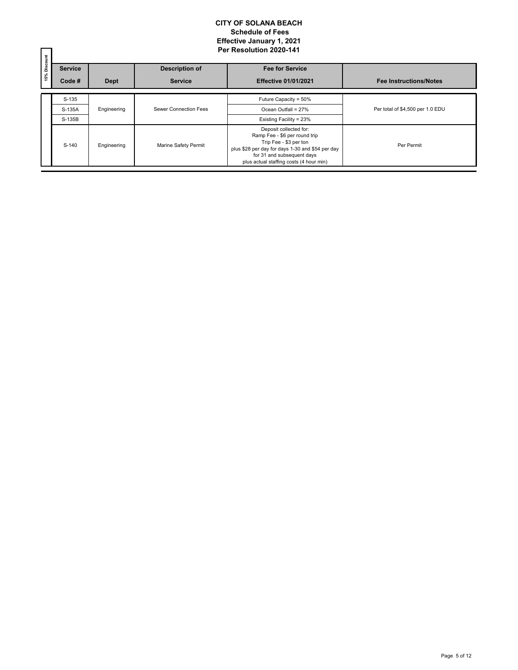| 15% Discount |                |             |                       | Per Resolution 2020-141                                                                                                                                                                                        |                                  |
|--------------|----------------|-------------|-----------------------|----------------------------------------------------------------------------------------------------------------------------------------------------------------------------------------------------------------|----------------------------------|
|              | <b>Service</b> |             | <b>Description of</b> | <b>Fee for Service</b>                                                                                                                                                                                         |                                  |
|              | Code #         | <b>Dept</b> | <b>Service</b>        | <b>Effective 01/01/2021</b>                                                                                                                                                                                    | <b>Fee Instructions/Notes</b>    |
|              | S-135          |             |                       | Future Capacity = 50%                                                                                                                                                                                          |                                  |
|              | S-135A         | Engineering | Sewer Connection Fees | Ocean Outfall = 27%                                                                                                                                                                                            | Per total of \$4,500 per 1.0 EDU |
|              | S-135B         |             |                       | Existing Facility = 23%                                                                                                                                                                                        |                                  |
|              | S-140          | Engineering | Marine Safety Permit  | Deposit collected for:<br>Ramp Fee - \$6 per round trip<br>Trip Fee - \$3 per ton<br>plus \$28 per day for days 1-30 and \$54 per day<br>for 31 and subsequent days<br>plus actual staffing costs (4 hour min) | Per Permit                       |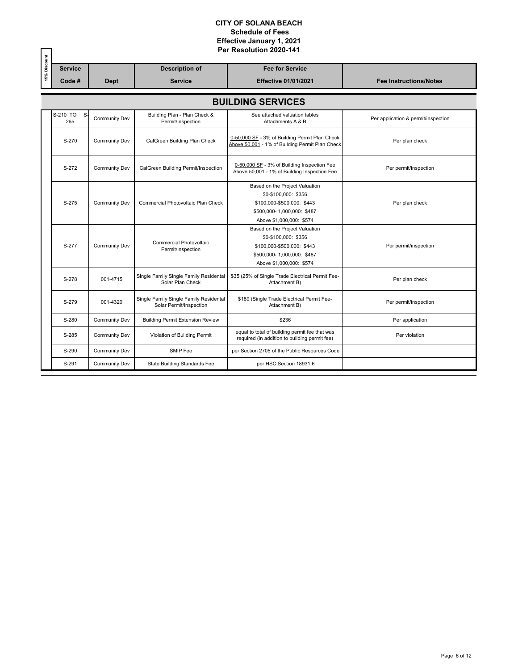|              |                          |                      |                                                                   | Per Resolution 2020-141                                                                                                                        |                                     |  |  |  |  |  |
|--------------|--------------------------|----------------------|-------------------------------------------------------------------|------------------------------------------------------------------------------------------------------------------------------------------------|-------------------------------------|--|--|--|--|--|
| 15% Discount | <b>Service</b>           |                      | <b>Description of</b>                                             | <b>Fee for Service</b>                                                                                                                         |                                     |  |  |  |  |  |
|              | Code#                    | <b>Dept</b>          | <b>Service</b>                                                    | <b>Effective 01/01/2021</b>                                                                                                                    | <b>Fee Instructions/Notes</b>       |  |  |  |  |  |
|              | <b>BUILDING SERVICES</b> |                      |                                                                   |                                                                                                                                                |                                     |  |  |  |  |  |
|              | S-210 TO<br>S-<br>265    | Community Dev        | Building Plan - Plan Check &<br>Permit/Inspection                 | See attached valuation tables<br>Attachments A & B                                                                                             | Per application & permit/inspection |  |  |  |  |  |
|              | S-270                    | <b>Community Dev</b> | CalGreen Building Plan Check                                      | 0-50,000 SF - 3% of Building Permit Plan Check<br>Above 50,001 - 1% of Building Permit Plan Check                                              | Per plan check                      |  |  |  |  |  |
|              | S-272                    | Community Dev        | CalGreen Building Permit/Inspection                               | 0-50,000 SF - 3% of Building Inspection Fee<br>Above 50,001 - 1% of Building Inspection Fee                                                    | Per permit/inspection               |  |  |  |  |  |
|              | S-275                    | <b>Community Dev</b> | Commercial Photovoltaic Plan Check                                | Based on the Project Valuation<br>\$0-\$100,000: \$356<br>\$100,000-\$500,000: \$443<br>\$500,000-1,000,000: \$487<br>Above \$1,000,000: \$574 | Per plan check                      |  |  |  |  |  |
|              | S-277                    | Community Dev        | <b>Commercial Photovoltaic</b><br>Permit/Inspection               | Based on the Project Valuation<br>\$0-\$100,000: \$356<br>\$100,000-\$500,000: \$443<br>\$500,000-1,000,000: \$487<br>Above \$1,000,000: \$574 | Per permit/inspection               |  |  |  |  |  |
|              | S-278                    | 001-4715             | Single Family Single Family Residental<br>Solar Plan Check        | \$35 (25% of Single Trade Electrical Permit Fee-<br>Attachment B)                                                                              | Per plan check                      |  |  |  |  |  |
|              | S-279                    | 001-4320             | Single Family Single Family Residental<br>Solar Permit/Inspection | \$189 (Single Trade Electrical Permit Fee-<br>Attachment B)                                                                                    | Per permit/inspection               |  |  |  |  |  |
|              | S-280                    | <b>Community Dev</b> | <b>Building Permit Extension Review</b>                           | \$236                                                                                                                                          | Per application                     |  |  |  |  |  |
|              | S-285                    | <b>Community Dev</b> | Violation of Building Permit                                      | equal to total of building permit fee that was<br>required (in addition to building permit fee)                                                | Per violation                       |  |  |  |  |  |
|              | S-290                    | Community Dev        | SMIP Fee                                                          | per Section 2705 of the Public Resources Code                                                                                                  |                                     |  |  |  |  |  |
|              | S-291                    | Community Dev        | <b>State Building Standards Fee</b>                               | per HSC Section 18931.6                                                                                                                        |                                     |  |  |  |  |  |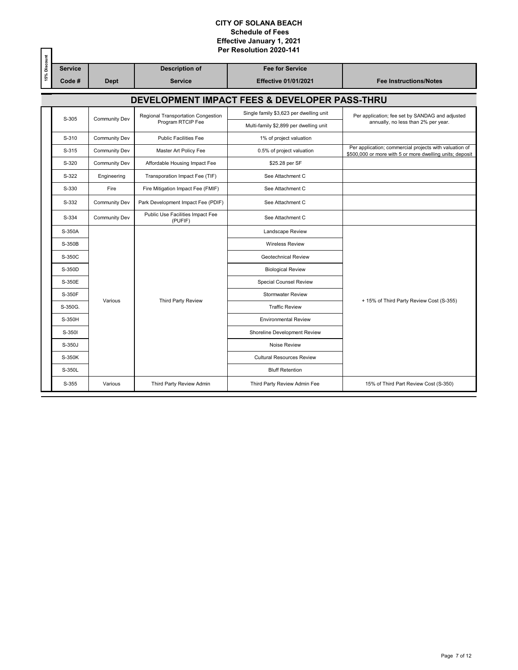|              |                |                      |                                             | Per Resolution 2020-141                       |                                                                                                                    |
|--------------|----------------|----------------------|---------------------------------------------|-----------------------------------------------|--------------------------------------------------------------------------------------------------------------------|
| 15% Discount | <b>Service</b> |                      | <b>Description of</b>                       | <b>Fee for Service</b>                        |                                                                                                                    |
|              | Code#          | <b>Dept</b>          | <b>Service</b>                              | <b>Effective 01/01/2021</b>                   | <b>Fee Instructions/Notes</b>                                                                                      |
|              |                |                      |                                             | DEVELOPMENT IMPACT FEES & DEVELOPER PASS-THRU |                                                                                                                    |
|              | S-305          | <b>Community Dev</b> | Regional Transportation Congestion          | Single family \$3,623 per dwelling unit       | Per application; fee set by SANDAG and adjusted                                                                    |
|              |                |                      | Program RTCIP Fee                           | Multi-family \$2,899 per dwelling unit        | annually, no less than 2% per year.                                                                                |
|              | S-310          | <b>Community Dev</b> | <b>Public Facilities Fee</b>                | 1% of project valuation                       |                                                                                                                    |
|              | S-315          | Community Dev        | Master Art Policy Fee                       | 0.5% of project valuation                     | Per application; commercial projects with valuation of<br>\$500,000 or more with 5 or more dwelling units; deposit |
|              | S-320          | Community Dev        | Affordable Housing Impact Fee               | \$25.28 per SF                                |                                                                                                                    |
|              | S-322          | Engineering          | Transporation Impact Fee (TIF)              | See Attachment C                              |                                                                                                                    |
|              | S-330          | Fire                 | Fire Mitigation Impact Fee (FMIF)           | See Attachment C                              |                                                                                                                    |
|              | S-332          | <b>Community Dev</b> | Park Development Impact Fee (PDIF)          | See Attachment C                              |                                                                                                                    |
|              | S-334          | Community Dev        | Public Use Facilities Impact Fee<br>(PUFIF) | See Attachment C                              |                                                                                                                    |
|              | S-350A         |                      | Landscape Review                            |                                               |                                                                                                                    |
|              | S-350B         |                      | <b>Wireless Review</b>                      |                                               |                                                                                                                    |
|              | S-350C         |                      |                                             | <b>Geotechnical Review</b>                    |                                                                                                                    |
|              | S-350D         |                      |                                             | <b>Biological Review</b>                      |                                                                                                                    |
|              | S-350E         |                      |                                             | Special Counsel Review                        |                                                                                                                    |
|              | S-350F         | Various              | Third Party Review                          | <b>Stormwater Review</b>                      | + 15% of Third Party Review Cost (S-355)                                                                           |
|              | S-350G.        |                      |                                             | <b>Traffic Review</b>                         |                                                                                                                    |
|              | S-350H         |                      |                                             | <b>Environmental Review</b>                   |                                                                                                                    |
|              | S-350I         |                      |                                             | Shoreline Development Review                  |                                                                                                                    |
|              | S-350J         |                      |                                             | Noise Review                                  |                                                                                                                    |
|              | S-350K         |                      |                                             | <b>Cultural Resources Review</b>              |                                                                                                                    |
|              | S-350L         |                      |                                             | <b>Bluff Retention</b>                        |                                                                                                                    |
|              | S-355          | Various              | Third Party Review Admin                    | Third Party Review Admin Fee                  | 15% of Third Part Review Cost (S-350)                                                                              |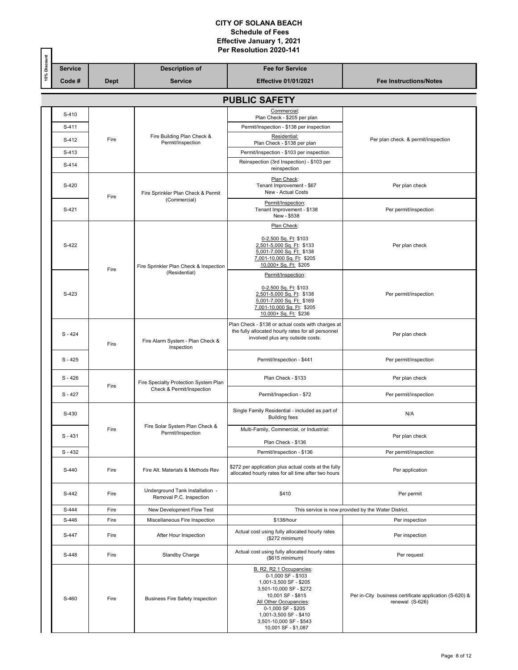|              |                      |             |                                                            | Per Resolution 2020-141                                                                                                                                                                                                                              |                                                                           |  |  |  |  |  |
|--------------|----------------------|-------------|------------------------------------------------------------|------------------------------------------------------------------------------------------------------------------------------------------------------------------------------------------------------------------------------------------------------|---------------------------------------------------------------------------|--|--|--|--|--|
| 15% Discount | <b>Service</b>       |             | <b>Description of</b>                                      | <b>Fee for Service</b>                                                                                                                                                                                                                               |                                                                           |  |  |  |  |  |
|              | Code#                | <b>Dept</b> | <b>Service</b>                                             | <b>Effective 01/01/2021</b>                                                                                                                                                                                                                          | <b>Fee Instructions/Notes</b>                                             |  |  |  |  |  |
|              | <b>PUBLIC SAFETY</b> |             |                                                            |                                                                                                                                                                                                                                                      |                                                                           |  |  |  |  |  |
|              | S-410                |             |                                                            | Commercial:<br>Plan Check - \$205 per plan                                                                                                                                                                                                           |                                                                           |  |  |  |  |  |
|              | S-411                |             |                                                            | Permit/Inspection - \$138 per inspection                                                                                                                                                                                                             |                                                                           |  |  |  |  |  |
|              | S-412                | Fire        | Fire Building Plan Check &<br>Permit/Inspection            | Residential:<br>Plan Check - \$138 per plan                                                                                                                                                                                                          | Per plan check. & permit/inspection                                       |  |  |  |  |  |
|              | S-413                |             |                                                            | Permit/Inspection - \$103 per inspection                                                                                                                                                                                                             |                                                                           |  |  |  |  |  |
|              | S-414                |             |                                                            | Reinspection (3rd Inspection) - \$103 per<br>reinspection                                                                                                                                                                                            |                                                                           |  |  |  |  |  |
|              | S-420                |             | Fire Sprinkler Plan Check & Permit                         | Plan Check:<br>Tenant Improvement - \$67<br>New - Actual Costs                                                                                                                                                                                       | Per plan check                                                            |  |  |  |  |  |
|              | S-421                | Fire        | (Commercial)                                               | Permit/Inspection:<br>Tenant Improvement - \$138<br>New - \$538                                                                                                                                                                                      | Per permit/inspection                                                     |  |  |  |  |  |
|              |                      |             |                                                            | Plan Check:                                                                                                                                                                                                                                          |                                                                           |  |  |  |  |  |
|              | S-422                | Fire        | Fire Sprinkler Plan Check & Inspection                     | 0-2,500 Sq. Ft: \$103<br>2,501-5,000 Sq. Ft: \$133<br>5,001-7,000 Sq. Ft: \$138<br>7,001-10,000 Sq. Ft: \$205<br>10,000+ Sq. Ft: \$205                                                                                                               | Per plan check                                                            |  |  |  |  |  |
|              |                      |             | (Residential)                                              | Permit/Inspection:                                                                                                                                                                                                                                   |                                                                           |  |  |  |  |  |
|              | S-423                |             |                                                            | 0-2,500 Sq. Ft: \$103<br>2,501-5,000 Sq. Ft: \$138<br>5,001-7,000 Sq. Ft: \$169<br>7,001-10,000 Sq. Ft: \$205<br>10,000+ Sq. Ft: \$236                                                                                                               | Per permit/inspection                                                     |  |  |  |  |  |
|              | $S - 424$            | Fire        | Fire Alarm System - Plan Check &<br>Inspection             | Plan Check - \$138 or actual costs with charges at<br>the fully allocated hourly rates for all personnel<br>involved plus any outside costs.                                                                                                         | Per plan check                                                            |  |  |  |  |  |
|              | $S - 425$            |             |                                                            | Permit/Inspection - \$441                                                                                                                                                                                                                            | Per permit/inspection                                                     |  |  |  |  |  |
|              | $S - 426$            |             | Fire Specialty Protection System Plan                      | Plan Check - \$133                                                                                                                                                                                                                                   | Per plan check                                                            |  |  |  |  |  |
|              | $S - 427$            | Fire        | Check & Permit/Inspection                                  | Permit/Inspection - \$72                                                                                                                                                                                                                             | Per permit/inspection                                                     |  |  |  |  |  |
|              | S-430                |             |                                                            | Single Family Residential - included as part of<br><b>Building fees</b>                                                                                                                                                                              | N/A                                                                       |  |  |  |  |  |
|              | $S - 431$            | Fire        | Fire Solar System Plan Check &<br>Permit/Inspection        | Multi-Family, Commercial, or Industrial:                                                                                                                                                                                                             | Per plan check                                                            |  |  |  |  |  |
|              |                      |             |                                                            | Plan Check - \$136                                                                                                                                                                                                                                   |                                                                           |  |  |  |  |  |
|              | $S - 432$            |             |                                                            | Permit/Inspection - \$136                                                                                                                                                                                                                            | Per permit/inspection                                                     |  |  |  |  |  |
|              | S-440                | Fire        | Fire Alt. Materials & Methods Rev                          | \$272 per application plus actual costs at the fully<br>allocated hourly rates for all time after two hours                                                                                                                                          | Per application                                                           |  |  |  |  |  |
|              | S-442                | Fire        | Underground Tank Installation -<br>Removal P.C. Inspection | \$410                                                                                                                                                                                                                                                | Per permit                                                                |  |  |  |  |  |
|              | S-444                | Fire        | New Development Flow Test                                  |                                                                                                                                                                                                                                                      | This service is now provided by the Water District.                       |  |  |  |  |  |
|              | S-446                | Fire        | Miscellaneous Fire Inspection                              | \$138/hour                                                                                                                                                                                                                                           | Per inspection                                                            |  |  |  |  |  |
|              | S-447                | Fire        | After Hour Inspection                                      | Actual cost using fully allocated hourly rates<br>(\$272 minimum)                                                                                                                                                                                    | Per inspection                                                            |  |  |  |  |  |
|              | S-448                | Fire        | Standby Charge                                             | Actual cost using fully allocated hourly rates<br>(\$615 minimum)                                                                                                                                                                                    | Per request                                                               |  |  |  |  |  |
|              | S-460                | Fire        | <b>Business Fire Safety Inspection</b>                     | B, R2, R2.1 Occupancies:<br>0-1,000 SF - \$103<br>1,001-3,500 SF - \$205<br>3,501-10,000 SF - \$272<br>10,001 SF - \$815<br>All Other Occupancies:<br>0-1,000 SF - \$205<br>1,001-3,500 SF - \$410<br>3,501-10,000 SF - \$543<br>10,001 SF - \$1,087 | Per in-City business certificate application (S-620) &<br>renewal (S-626) |  |  |  |  |  |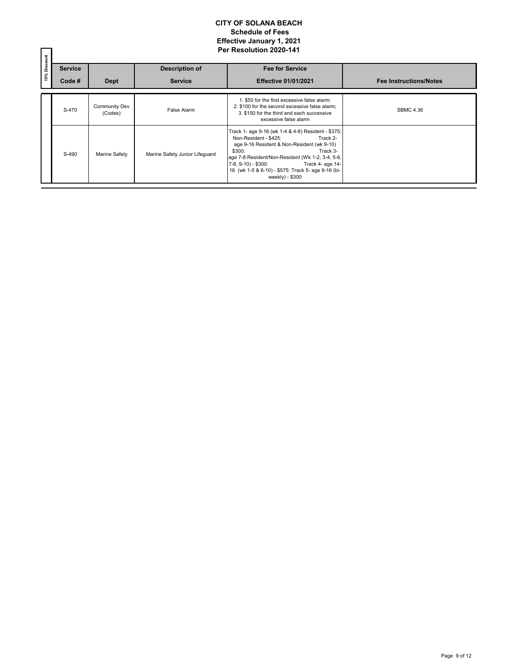|              |                |                                 |                                | Per Resolution 2020-141                                                                                                                                                                                                                                                                                                           |                               |
|--------------|----------------|---------------------------------|--------------------------------|-----------------------------------------------------------------------------------------------------------------------------------------------------------------------------------------------------------------------------------------------------------------------------------------------------------------------------------|-------------------------------|
| 15% Discount | <b>Service</b> |                                 | <b>Description of</b>          | <b>Fee for Service</b>                                                                                                                                                                                                                                                                                                            |                               |
|              | Code #         | <b>Dept</b>                     | <b>Service</b>                 | <b>Effective 01/01/2021</b>                                                                                                                                                                                                                                                                                                       | <b>Fee Instructions/Notes</b> |
|              | S-470          | <b>Community Dev</b><br>(Codes) | <b>False Alarm</b>             | 1. \$50 for the first excessive false alarm;<br>2. \$100 for the second excessive false alarm:<br>3. \$150 for the third and each successive<br>excessive false alarm                                                                                                                                                             | <b>SBMC 4.36</b>              |
|              | S-490          | Marine Safety                   | Marine Safety Junior Lifeguard | Track 1- age 9-16 (wk 1-4 & 4-8) Resident - \$375;<br>Non-Resident - \$425:<br>Track 2-<br>age 9-16 Resident & Non-Resident (wk 9-10)<br>\$300:<br>Track 3-<br>age 7-8 Resident/Non-Resident (Wk 1-2, 3-4, 5-6,<br>7-8, 9-10) - \$300: Track 4- age 14-<br>16 (wk 1-5 & 6-10) - \$575: Track 5- age 9-16 (bi-<br>$weekly) - $300$ |                               |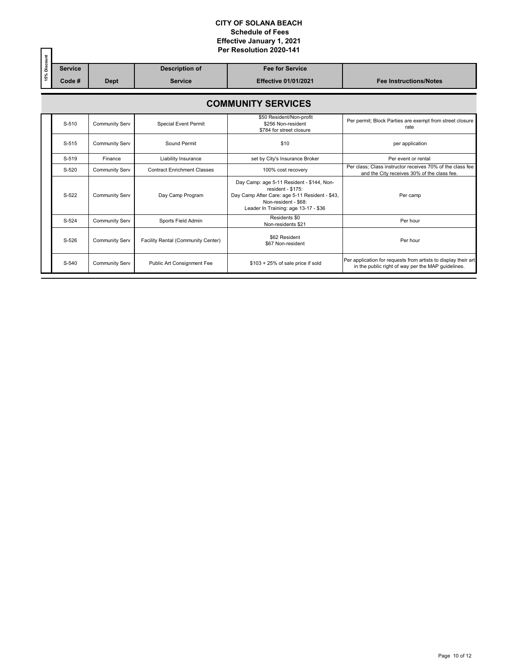|              |                           |                       |                                    | Per Resolution 2020-141                                                                                                                                                          |                                                                                                                      |  |  |  |  |  |  |
|--------------|---------------------------|-----------------------|------------------------------------|----------------------------------------------------------------------------------------------------------------------------------------------------------------------------------|----------------------------------------------------------------------------------------------------------------------|--|--|--|--|--|--|
| 15% Discount | <b>Service</b>            |                       | <b>Description of</b>              | <b>Fee for Service</b>                                                                                                                                                           |                                                                                                                      |  |  |  |  |  |  |
|              | Code #                    | <b>Dept</b>           | <b>Service</b>                     | <b>Effective 01/01/2021</b>                                                                                                                                                      | <b>Fee Instructions/Notes</b>                                                                                        |  |  |  |  |  |  |
|              | <b>COMMUNITY SERVICES</b> |                       |                                    |                                                                                                                                                                                  |                                                                                                                      |  |  |  |  |  |  |
|              | $S-510$                   | <b>Community Serv</b> | <b>Special Event Permit</b>        | \$50 Resident/Non-profit<br>\$256 Non-resident<br>\$784 for street closure                                                                                                       | Per permit; Block Parties are exempt from street closure<br>rate                                                     |  |  |  |  |  |  |
|              | S-515                     | <b>Community Serv</b> | Sound Permit                       | \$10                                                                                                                                                                             | per application                                                                                                      |  |  |  |  |  |  |
|              | S-519                     | Finance               | Liability Insurance                | set by City's Insurance Broker                                                                                                                                                   | Per event or rental                                                                                                  |  |  |  |  |  |  |
|              | S-520                     | Community Serv        | <b>Contract Enrichment Classes</b> | 100% cost recovery                                                                                                                                                               | Per class: Class instructor receives 70% of the class fee<br>and the City receives 30% of the class fee.             |  |  |  |  |  |  |
|              | S-522                     | Community Serv        | Day Camp Program                   | Day Camp: age 5-11 Resident - \$144, Non-<br>resident - \$175:<br>Day Camp After Care: age 5-11 Resident - \$43,<br>Non-resident - \$68:<br>Leader In Training: age 13-17 - \$36 | Per camp                                                                                                             |  |  |  |  |  |  |
|              | S-524                     | <b>Community Serv</b> | Sports Field Admin                 | Residents \$0<br>Non-residents \$21                                                                                                                                              | Per hour                                                                                                             |  |  |  |  |  |  |
|              | S-526                     | <b>Community Serv</b> | Facility Rental (Community Center) | \$62 Resident<br>\$67 Non-resident                                                                                                                                               | Per hour                                                                                                             |  |  |  |  |  |  |
|              | S-540                     | Community Serv        | Public Art Consignment Fee         | $$103 + 25\%$ of sale price if sold                                                                                                                                              | Per application for requests from artists to display their art<br>in the public right of way per the MAP guidelines. |  |  |  |  |  |  |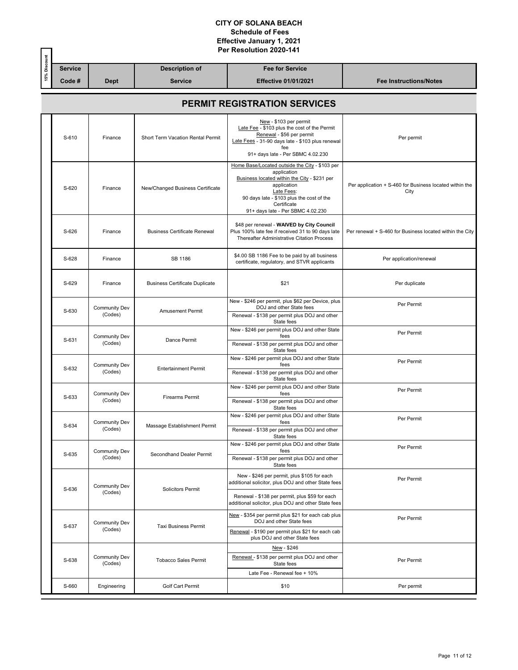|              |                                     | Per Resolution 2020-141         |                                          |                                                                                                                                                                                                                                             |                                                                 |  |  |  |  |
|--------------|-------------------------------------|---------------------------------|------------------------------------------|---------------------------------------------------------------------------------------------------------------------------------------------------------------------------------------------------------------------------------------------|-----------------------------------------------------------------|--|--|--|--|
| 15% Discount | <b>Service</b>                      |                                 | <b>Description of</b>                    | <b>Fee for Service</b>                                                                                                                                                                                                                      |                                                                 |  |  |  |  |
|              | Code#                               | <b>Dept</b>                     | <b>Service</b>                           | <b>Effective 01/01/2021</b>                                                                                                                                                                                                                 | <b>Fee Instructions/Notes</b>                                   |  |  |  |  |
|              | <b>PERMIT REGISTRATION SERVICES</b> |                                 |                                          |                                                                                                                                                                                                                                             |                                                                 |  |  |  |  |
|              | S-610                               | Finance                         | <b>Short Term Vacation Rental Permit</b> | New - \$103 per permit<br>Late Fee - \$103 plus the cost of the Permit<br>Renewal - \$56 per permit<br>Late Fees - 31-90 days late - \$103 plus renewal<br>fee<br>91+ days late - Per SBMC 4.02.230                                         | Per permit                                                      |  |  |  |  |
|              | S-620                               | Finance                         | New/Changed Business Certificate         | Home Base/Located outside the City - \$103 per<br>application<br>Business located within the City - \$231 per<br>application<br>Late Fees:<br>90 days late - \$103 plus the cost of the<br>Certificate<br>91+ days late - Per SBMC 4.02.230 | Per application + S-460 for Business located within the<br>City |  |  |  |  |
|              | S-626                               | Finance                         | <b>Business Certificate Renewal</b>      | \$48 per renewal - WAIVED by City Council<br>Plus 100% late fee if received 31 to 90 days late<br><b>Thereafter Administrative Citation Process</b>                                                                                         | Per renewal + S-460 for Business located within the City        |  |  |  |  |
|              | S-628                               | Finance                         | SB 1186                                  | \$4.00 SB 1186 Fee to be paid by all business<br>certificate, regulatory, and STVR applicants                                                                                                                                               | Per application/renewal                                         |  |  |  |  |
|              | S-629                               | Finance                         | <b>Business Certificate Duplicate</b>    | \$21                                                                                                                                                                                                                                        | Per duplicate                                                   |  |  |  |  |
|              | S-630                               | <b>Community Dev</b><br>(Codes) | <b>Amusement Permit</b>                  | New - \$246 per permit, plus \$62 per Device, plus<br>DOJ and other State fees<br>Renewal - \$138 per permit plus DOJ and other<br>State fees                                                                                               | Per Permit                                                      |  |  |  |  |
|              | S-631                               | <b>Community Dev</b><br>(Codes) | Dance Permit                             | New - \$246 per permit plus DOJ and other State<br>fees<br>Renewal - \$138 per permit plus DOJ and other<br>State fees                                                                                                                      | Per Permit                                                      |  |  |  |  |
|              | S-632                               | <b>Community Dev</b><br>(Codes) | <b>Entertainment Permit</b>              | New - \$246 per permit plus DOJ and other State<br>fees<br>Renewal - \$138 per permit plus DOJ and other<br>State fees                                                                                                                      | Per Permit                                                      |  |  |  |  |
|              | S-633                               | <b>Community Dev</b><br>(Codes) | <b>Firearms Permit</b>                   | New - \$246 per permit plus DOJ and other State<br>fees<br>Renewal - \$138 per permit plus DOJ and other<br>State fees                                                                                                                      | Per Permit                                                      |  |  |  |  |
|              | S-634                               | <b>Community Dev</b><br>(Codes) | Massage Establishment Permit             | New - \$246 per permit plus DOJ and other State<br>fees<br>Renewal - \$138 per permit plus DOJ and other<br>State fees                                                                                                                      | Per Permit                                                      |  |  |  |  |
|              | S-635                               | <b>Community Dev</b><br>(Codes) | Secondhand Dealer Permit                 | New - \$246 per permit plus DOJ and other State<br>fees<br>Renewal - \$138 per permit plus DOJ and other<br>State fees                                                                                                                      | Per Permit                                                      |  |  |  |  |
|              | S-636                               | <b>Community Dev</b><br>(Codes) | <b>Solicitors Permit</b>                 | New - \$246 per permit, plus \$105 for each<br>additional solicitor, plus DOJ and other State fees<br>Renewal - \$138 per permit, plus \$59 for each<br>additional solicitor, plus DOJ and other State fees                                 | Per Permit                                                      |  |  |  |  |
|              | S-637                               | <b>Community Dev</b><br>(Codes) | <b>Taxi Business Permit</b>              | New - \$354 per permit plus \$21 for each cab plus<br>DOJ and other State fees<br>Renewal - \$190 per permit plus \$21 for each cab<br>plus DOJ and other State fees                                                                        | Per Permit                                                      |  |  |  |  |
|              | S-638                               | <b>Community Dev</b><br>(Codes) | <b>Tobacco Sales Permit</b>              | New - \$246<br>Renewal - \$138 per permit plus DOJ and other<br>State fees<br>Late Fee - Renewal fee + 10%                                                                                                                                  | Per Permit                                                      |  |  |  |  |
|              | S-660                               | Engineering                     | Golf Cart Permit                         | \$10                                                                                                                                                                                                                                        | Per permit                                                      |  |  |  |  |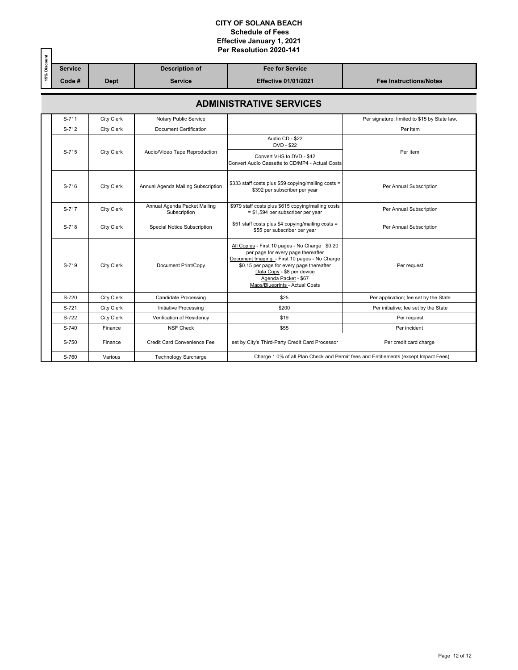| Per Resolution 2020-141 |                                |                                              |                                                                                                                                                                                                                                                                            |                                                                                     |  |  |  |  |
|-------------------------|--------------------------------|----------------------------------------------|----------------------------------------------------------------------------------------------------------------------------------------------------------------------------------------------------------------------------------------------------------------------------|-------------------------------------------------------------------------------------|--|--|--|--|
| <b>Service</b><br>Code# | <b>Dept</b>                    | <b>Description of</b><br><b>Service</b>      | <b>Fee for Service</b><br><b>Effective 01/01/2021</b>                                                                                                                                                                                                                      | <b>Fee Instructions/Notes</b>                                                       |  |  |  |  |
|                         | <b>ADMINISTRATIVE SERVICES</b> |                                              |                                                                                                                                                                                                                                                                            |                                                                                     |  |  |  |  |
| S-711                   | <b>City Clerk</b>              | Notary Public Service                        |                                                                                                                                                                                                                                                                            | Per signature; limited to \$15 by State law.                                        |  |  |  |  |
| S-712                   | <b>City Clerk</b>              | Document Certification                       |                                                                                                                                                                                                                                                                            | Per item                                                                            |  |  |  |  |
| S-715                   | <b>City Clerk</b>              | Audio/Video Tape Reproduction                | Audio CD - \$22<br>DVD - \$22<br>Convert VHS to DVD - \$42<br>Convert Audio Cassette to CD/MP4 - Actual Costs                                                                                                                                                              | Per item                                                                            |  |  |  |  |
| S-716                   | <b>City Clerk</b>              | Annual Agenda Mailing Subscription           | \$333 staff costs plus \$59 copying/mailing costs =<br>\$392 per subscriber per year                                                                                                                                                                                       | Per Annual Subscription                                                             |  |  |  |  |
| S-717                   | City Clerk                     | Annual Agenda Packet Mailing<br>Subscription | \$979 staff costs plus \$615 copying/mailing costs<br>= \$1,594 per subscriber per year                                                                                                                                                                                    | Per Annual Subscription                                                             |  |  |  |  |
| S-718                   | <b>City Clerk</b>              | Special Notice Subscription                  | \$51 staff costs plus \$4 copying/mailing costs =<br>\$55 per subscriber per year                                                                                                                                                                                          | Per Annual Subscription                                                             |  |  |  |  |
| S-719                   | <b>City Clerk</b>              | Document Print/Copy                          | All Copies - First 10 pages - No Charge \$0.20<br>per page for every page thereafter<br>Document Imaging - First 10 pages - No Charge<br>\$0.15 per page for every page thereafter<br>Data Copy - \$8 per device<br>Agenda Packet - \$67<br>Maps/Blueprints - Actual Costs | Per request                                                                         |  |  |  |  |
| S-720                   | <b>City Clerk</b>              | <b>Candidate Processing</b>                  | \$25                                                                                                                                                                                                                                                                       | Per application; fee set by the State                                               |  |  |  |  |
| S-721                   | City Clerk                     | Initiative Processing                        | \$200                                                                                                                                                                                                                                                                      | Per initiative; fee set by the State                                                |  |  |  |  |
| S-722                   | <b>City Clerk</b>              | Verification of Residency                    | \$19                                                                                                                                                                                                                                                                       | Per request                                                                         |  |  |  |  |
| S-740                   | Finance                        | <b>NSF Check</b>                             | \$55                                                                                                                                                                                                                                                                       | Per incident                                                                        |  |  |  |  |
| S-750                   | Finance                        | <b>Credit Card Convenience Fee</b>           | set by City's Third-Party Credit Card Processor                                                                                                                                                                                                                            | Per credit card charge                                                              |  |  |  |  |
| S-760                   | Various                        | <b>Technology Surcharge</b>                  |                                                                                                                                                                                                                                                                            | Charge 1.0% of all Plan Check and Permit fees and Entitlements (except Impact Fees) |  |  |  |  |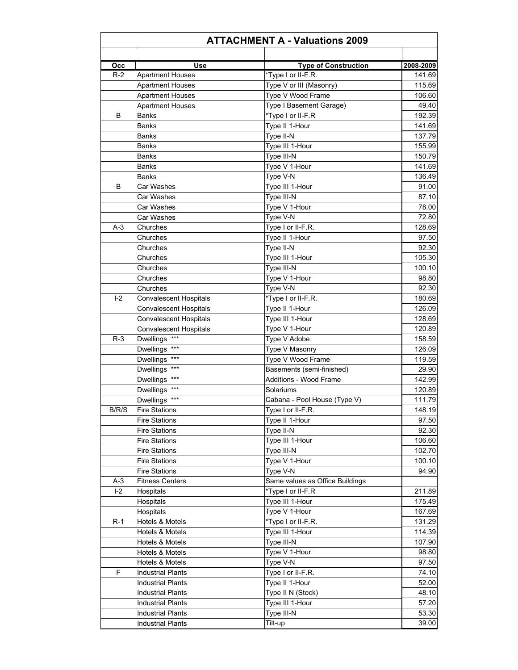|       | <b>ATTACHMENT A - Valuations 2009</b> |                                                   |           |  |  |
|-------|---------------------------------------|---------------------------------------------------|-----------|--|--|
| Occ   | Use                                   |                                                   | 2008-2009 |  |  |
| $R-2$ | <b>Apartment Houses</b>               | <b>Type of Construction</b><br>*Type I or II-F.R. | 141.69    |  |  |
|       | <b>Apartment Houses</b>               | Type V or III (Masonry)                           | 115.69    |  |  |
|       | <b>Apartment Houses</b>               | Type V Wood Frame                                 | 106.60    |  |  |
|       | <b>Apartment Houses</b>               | Type I Basement Garage)                           | 49.40     |  |  |
| B     |                                       | *Type I or II-F.R                                 | 192.39    |  |  |
|       | Banks                                 | Type II 1-Hour                                    | 141.69    |  |  |
|       | Banks                                 |                                                   | 137.79    |  |  |
|       | Banks                                 | Type II-N<br>Type III 1-Hour                      | 155.99    |  |  |
|       | Banks                                 | Type III-N                                        |           |  |  |
|       | Banks                                 |                                                   | 150.79    |  |  |
|       | Banks                                 | Type V 1-Hour                                     | 141.69    |  |  |
|       | Banks                                 | Type V-N                                          | 136.49    |  |  |
| B     | Car Washes                            | Type III 1-Hour                                   | 91.00     |  |  |
|       | Car Washes                            | Type III-N                                        | 87.10     |  |  |
|       | Car Washes                            | Type V 1-Hour                                     | 78.00     |  |  |
|       | Car Washes                            | Type V-N                                          | 72.80     |  |  |
| $A-3$ | Churches                              | Type I or II-F.R.                                 | 128.69    |  |  |
|       | Churches                              | Type II 1-Hour                                    | 97.50     |  |  |
|       | Churches                              | Type II-N                                         | 92.30     |  |  |
|       | Churches                              | Type III 1-Hour                                   | 105.30    |  |  |
|       | Churches                              | Type III-N                                        | 100.10    |  |  |
|       | Churches                              | Type V 1-Hour                                     | 98.80     |  |  |
|       | Churches                              | Type V-N                                          | 92.30     |  |  |
| $I-2$ | <b>Convalescent Hospitals</b>         | *Type I or II-F.R.                                | 180.69    |  |  |
|       | <b>Convalescent Hospitals</b>         | Type II 1-Hour                                    | 126.09    |  |  |
|       | <b>Convalescent Hospitals</b>         | Type III 1-Hour                                   | 128.69    |  |  |
|       | <b>Convalescent Hospitals</b>         | Type V 1-Hour                                     | 120.89    |  |  |
| $R-3$ | Dwellings ***                         | Type V Adobe                                      | 158.59    |  |  |
|       | Dwellings ***                         | Type V Masonry                                    | 126.09    |  |  |
|       | Dwellings ***                         | Type V Wood Frame                                 | 119.59    |  |  |
|       | Dwellings ***                         | Basements (semi-finished)                         | 29.90     |  |  |
|       | Dwellings ***                         | <b>Additions - Wood Frame</b>                     | 142.99    |  |  |
|       | Dwellings ***                         | Solariums                                         | 120.89    |  |  |
|       | Dwellings ***                         | Cabana - Pool House (Type V)                      | 111.79    |  |  |
| B/R/S | <b>Fire Stations</b>                  | Type I or II-F.R.                                 | 148.19    |  |  |
|       | <b>Fire Stations</b>                  | Type II 1-Hour                                    | 97.50     |  |  |
|       | <b>Fire Stations</b>                  | Type II-N                                         | 92.30     |  |  |
|       | <b>Fire Stations</b>                  | Type III 1-Hour                                   | 106.60    |  |  |
|       | <b>Fire Stations</b>                  | Type III-N                                        | 102.70    |  |  |
|       | <b>Fire Stations</b>                  | Type V 1-Hour                                     | 100.10    |  |  |
|       | <b>Fire Stations</b>                  | Type V-N                                          | 94.90     |  |  |
| $A-3$ | <b>Fitness Centers</b>                | Same values as Office Buildings                   |           |  |  |
| $I-2$ | Hospitals                             | *Type I or II-F.R                                 | 211.89    |  |  |
|       | Hospitals                             | Type III 1-Hour                                   | 175.49    |  |  |
|       | Hospitals                             | Type V 1-Hour                                     | 167.69    |  |  |
| $R-1$ | Hotels & Motels                       | *Type I or II-F.R.                                | 131.29    |  |  |
|       | Hotels & Motels                       | Type III 1-Hour                                   | 114.39    |  |  |
|       | Hotels & Motels                       | Type III-N                                        | 107.90    |  |  |
|       | Hotels & Motels                       | Type V 1-Hour                                     | 98.80     |  |  |
|       | Hotels & Motels                       | Type V-N                                          | 97.50     |  |  |
| F.    | <b>Industrial Plants</b>              | Type I or II-F.R.                                 | 74.10     |  |  |
|       |                                       |                                                   |           |  |  |
|       | <b>Industrial Plants</b>              | Type II 1-Hour                                    | 52.00     |  |  |
|       | <b>Industrial Plants</b>              | Type II N (Stock)                                 | 48.10     |  |  |
|       | <b>Industrial Plants</b>              | Type III 1-Hour                                   | 57.20     |  |  |
|       | <b>Industrial Plants</b>              | Type III-N                                        | 53.30     |  |  |
|       | <b>Industrial Plants</b>              | Tilt-up                                           | 39.00     |  |  |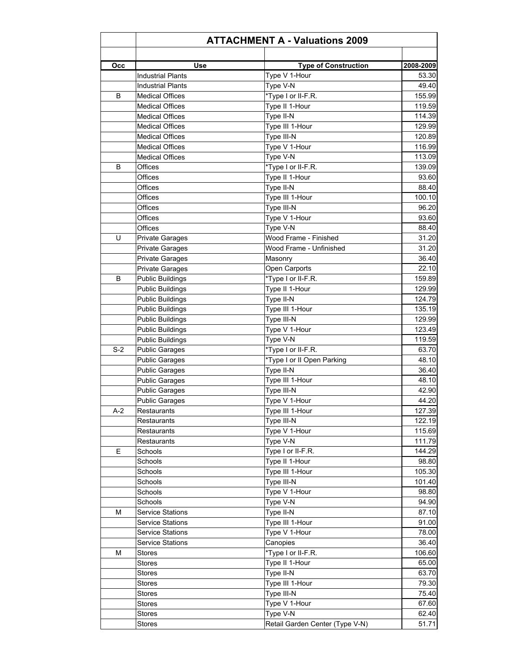| Occ   | Use                     | <b>Type of Construction</b>     | 2008-2009 |
|-------|-------------------------|---------------------------------|-----------|
|       | Industrial Plants       | Type V 1-Hour                   | 53.30     |
|       | Industrial Plants       | Type V-N                        | 49.40     |
| B     | Medical Offices         | *Type I or II-F.R.              | 155.99    |
|       | <b>Medical Offices</b>  | Type II 1-Hour                  | 119.59    |
|       | <b>Medical Offices</b>  | Type II-N                       | 114.39    |
|       | <b>Medical Offices</b>  | Type III 1-Hour                 | 129.99    |
|       | <b>Medical Offices</b>  | Type III-N                      | 120.89    |
|       | <b>Medical Offices</b>  | Type V 1-Hour                   | 116.99    |
|       | <b>Medical Offices</b>  | Type V-N                        | 113.09    |
| B     | Offices                 | *Type I or II-F.R.              | 139.09    |
|       | Offices                 | Type II 1-Hour                  | 93.60     |
|       | Offices                 | Type II-N                       | 88.40     |
|       | Offices                 | Type III 1-Hour                 | 100.10    |
|       | Offices                 | Type III-N                      | 96.20     |
|       | Offices                 | Type V 1-Hour                   | 93.60     |
|       | Offices                 | Type V-N                        | 88.40     |
| U     | <b>Private Garages</b>  | Wood Frame - Finished           | 31.20     |
|       | Private Garages         | Wood Frame - Unfinished         | 31.20     |
|       | <b>Private Garages</b>  | Masonry                         | 36.40     |
|       | <b>Private Garages</b>  | Open Carports                   | 22.10     |
| B     | <b>Public Buildings</b> | *Type I or II-F.R.              | 159.89    |
|       | <b>Public Buildings</b> | Type II 1-Hour                  | 129.99    |
|       | <b>Public Buildings</b> | Type II-N                       | 124.79    |
|       | <b>Public Buildings</b> | Type III 1-Hour                 | 135.19    |
|       | <b>Public Buildings</b> | Type III-N                      | 129.99    |
|       | <b>Public Buildings</b> | Type V 1-Hour                   | 123.49    |
|       | <b>Public Buildings</b> | Type V-N                        | 119.59    |
| $S-2$ | <b>Public Garages</b>   | *Type I or II-F.R.              | 63.70     |
|       | <b>Public Garages</b>   | *Type I or II Open Parking      | 48.10     |
|       | <b>Public Garages</b>   | Type II-N                       | 36.40     |
|       | <b>Public Garages</b>   | Type III 1-Hour                 | 48.10     |
|       | <b>Public Garages</b>   | Type III-N                      | 42.90     |
|       | <b>Public Garages</b>   | Type V 1-Hour                   | 44.20     |
| $A-2$ | Restaurants             | Type III 1-Hour                 | 127.39    |
|       | Restaurants             | Type III-N                      | 122.19    |
|       | Restaurants             | Type V 1-Hour                   | 115.69    |
|       | Restaurants             | Type V-N                        | 111.79    |
| Е     | Schools                 | Type I or II-F.R.               | 144.29    |
|       | Schools                 | Type II 1-Hour                  | 98.80     |
|       | Schools                 | Type III 1-Hour                 | 105.30    |
|       | Schools                 | Type III-N                      | 101.40    |
|       | Schools                 | Type V 1-Hour                   | 98.80     |
|       | Schools                 | Type V-N                        | 94.90     |
| м     | Service Stations        | Type II-N                       | 87.10     |
|       | <b>Service Stations</b> | Type III 1-Hour                 | 91.00     |
|       | <b>Service Stations</b> | Type V 1-Hour                   | 78.00     |
|       | <b>Service Stations</b> | Canopies                        | 36.40     |
| M     | Stores                  | *Type I or II-F.R.              | 106.60    |
|       | Stores                  | Type II 1-Hour                  | 65.00     |
|       | Stores                  | Type II-N                       | 63.70     |
|       |                         | Type III 1-Hour                 | 79.30     |
|       | Stores                  | Type III-N                      | 75.40     |
|       | <b>Stores</b>           |                                 | 67.60     |
|       | Stores                  | Type V 1-Hour                   |           |
|       | Stores                  | Type V-N                        | 62.40     |
|       | Stores                  | Retail Garden Center (Type V-N) | 51.71     |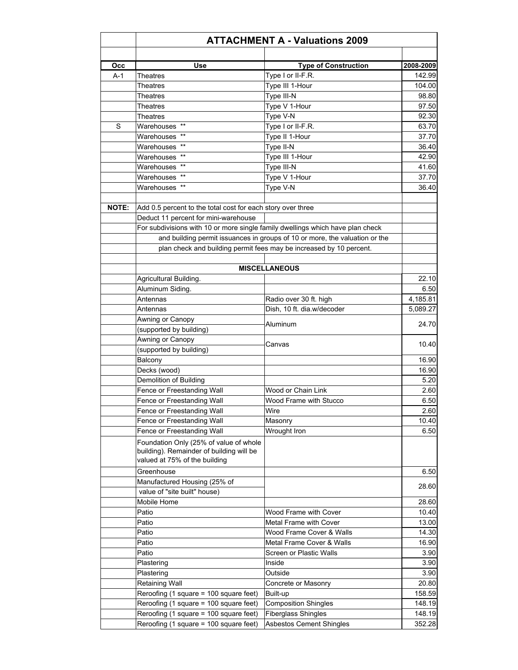| Occ          | Use                                                                                                                 | <b>Type of Construction</b>                                                 | 2008-2009        |
|--------------|---------------------------------------------------------------------------------------------------------------------|-----------------------------------------------------------------------------|------------------|
| $A-1$        | Theatres                                                                                                            | Type I or II-F.R.                                                           | 142.99           |
|              | Theatres                                                                                                            | Type III 1-Hour                                                             | 104.00           |
|              | Theatres                                                                                                            | Type III-N                                                                  | 98.80            |
|              | Theatres                                                                                                            | Type V 1-Hour                                                               | 97.50            |
|              | Theatres                                                                                                            | Type V-N                                                                    | 92.30            |
| S            | Warehouses **                                                                                                       | Type I or II-F.R.                                                           | 63.70            |
|              | Warehouses **                                                                                                       | Type II 1-Hour                                                              | 37.70            |
|              | Warehouses **                                                                                                       | Type II-N                                                                   | 36.40            |
|              | Warehouses **                                                                                                       | Type III 1-Hour                                                             | 42.90            |
|              | Warehouses **                                                                                                       | Type III-N                                                                  | 41.60            |
|              | Warehouses **                                                                                                       | Type V 1-Hour                                                               | 37.70            |
|              | Warehouses **                                                                                                       | Type V-N                                                                    | 36.40            |
| <b>NOTE:</b> | Add 0.5 percent to the total cost for each story over three                                                         |                                                                             |                  |
|              | Deduct 11 percent for mini-warehouse                                                                                |                                                                             |                  |
|              | For subdivisions with 10 or more single family dwellings which have plan check                                      |                                                                             |                  |
|              |                                                                                                                     | and building permit issuances in groups of 10 or more, the valuation or the |                  |
|              |                                                                                                                     |                                                                             |                  |
|              |                                                                                                                     | plan check and building permit fees may be increased by 10 percent.         |                  |
|              |                                                                                                                     | <b>MISCELLANEOUS</b>                                                        |                  |
|              | Agricultural Building.                                                                                              |                                                                             | 22.10            |
|              | Aluminum Siding.                                                                                                    |                                                                             | 6.50             |
|              | Antennas                                                                                                            | Radio over 30 ft. high                                                      | 4,185.81         |
|              | Antennas                                                                                                            | Dish, 10 ft. dia.w/decoder                                                  | 5,089.27         |
|              | Awning or Canopy                                                                                                    |                                                                             |                  |
|              | (supported by building)                                                                                             | Aluminum                                                                    | 24.70            |
|              | Awning or Canopy                                                                                                    |                                                                             |                  |
|              | (supported by building)                                                                                             | Canvas                                                                      | 10.40            |
|              | Balcony                                                                                                             |                                                                             | 16.90            |
|              | Decks (wood)                                                                                                        |                                                                             | 16.90            |
|              | Demolition of Building                                                                                              |                                                                             | 5.20             |
|              | Fence or Freestanding Wall                                                                                          | Wood or Chain Link                                                          | 2.60             |
|              | Fence or Freestanding Wall                                                                                          | Wood Frame with Stucco                                                      | 6.50             |
|              | Fence or Freestanding Wall                                                                                          | Wire                                                                        | 2.60             |
|              | Fence or Freestanding Wall                                                                                          | Masonry                                                                     | 10.40            |
|              | Fence or Freestanding Wall                                                                                          | Wrought Iron                                                                | 6.50             |
|              | Foundation Only (25% of value of whole<br>building). Remainder of building will be<br>valued at 75% of the building |                                                                             |                  |
|              | Greenhouse                                                                                                          |                                                                             | 6.50             |
|              | Manufactured Housing (25% of                                                                                        |                                                                             | 28.60            |
|              | value of "site built" house)<br>Mobile Home                                                                         |                                                                             | 28.60            |
|              | Patio                                                                                                               | Wood Frame with Cover                                                       | 10.40            |
|              | Patio                                                                                                               | <b>Metal Frame with Cover</b>                                               | 13.00            |
|              | Patio                                                                                                               | Wood Frame Cover & Walls                                                    | 14.30            |
|              | Patio                                                                                                               | Metal Frame Cover & Walls                                                   | 16.90            |
|              | Patio                                                                                                               | <b>Screen or Plastic Walls</b>                                              | 3.90             |
|              |                                                                                                                     |                                                                             |                  |
|              | Plastering                                                                                                          | Inside<br>Outside                                                           | 3.90<br>3.90     |
|              |                                                                                                                     |                                                                             |                  |
|              | Plastering                                                                                                          |                                                                             |                  |
|              | <b>Retaining Wall</b>                                                                                               | Concrete or Masonry                                                         | 20.80            |
|              | Reroofing (1 square = 100 square feet)                                                                              | Built-up                                                                    | 158.59           |
|              | Reroofing (1 square = 100 square feet)<br>Reroofing (1 square = 100 square feet)                                    | <b>Composition Shingles</b><br><b>Fiberglass Shingles</b>                   | 148.19<br>148.19 |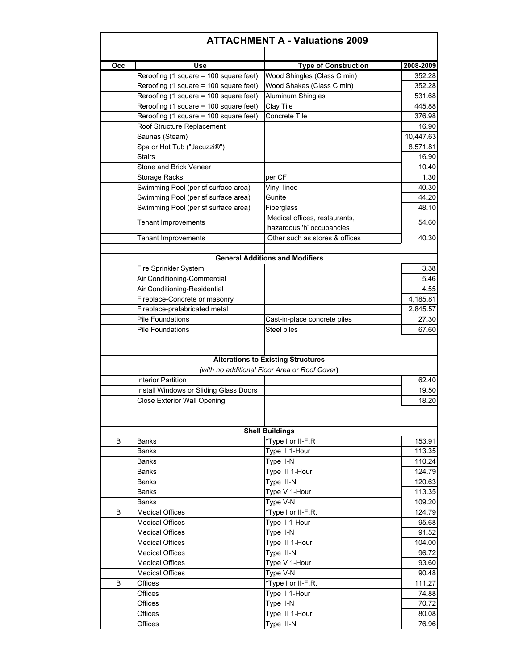| Occ | <b>Use</b>                             | <b>Type of Construction</b>                                                                | 2008-2009      |
|-----|----------------------------------------|--------------------------------------------------------------------------------------------|----------------|
|     | Reroofing (1 square = 100 square feet) | Wood Shingles (Class C min)                                                                | 352.28         |
|     | Reroofing (1 square = 100 square feet) | Wood Shakes (Class C min)                                                                  | 352.28         |
|     | Reroofing (1 square = 100 square feet) | <b>Aluminum Shingles</b>                                                                   | 531.68         |
|     | Reroofing (1 square = 100 square feet) | Clay Tile                                                                                  | 445.88         |
|     | Reroofing (1 square = 100 square feet) | Concrete Tile                                                                              | 376.98         |
|     | Roof Structure Replacement             |                                                                                            | 16.90          |
|     | Saunas (Steam)                         |                                                                                            | 10,447.63      |
|     | Spa or Hot Tub ("Jacuzzi®")            |                                                                                            | 8,571.81       |
|     | Stairs                                 |                                                                                            | 16.90          |
|     | Stone and Brick Veneer                 |                                                                                            | 10.40          |
|     | Storage Racks                          | per CF                                                                                     | 1.30           |
|     | Swimming Pool (per sf surface area)    | Vinyl-lined                                                                                | 40.30          |
|     | Swimming Pool (per sf surface area)    | Gunite                                                                                     | 44.20          |
|     | Swimming Pool (per sf surface area)    | Fiberglass                                                                                 | 48.10          |
|     |                                        | Medical offices, restaurants,                                                              |                |
|     | <b>Tenant Improvements</b>             | hazardous 'h' occupancies                                                                  | 54.60          |
|     | <b>Tenant Improvements</b>             | Other such as stores & offices                                                             | 40.30          |
|     |                                        |                                                                                            |                |
|     |                                        | <b>General Additions and Modifiers</b>                                                     |                |
|     | Fire Sprinkler System                  |                                                                                            | 3.38           |
|     | Air Conditioning-Commercial            |                                                                                            | 5.46           |
|     | Air Conditioning-Residential           |                                                                                            | 4.55           |
|     | Fireplace-Concrete or masonry          |                                                                                            | 4,185.81       |
|     | Fireplace-prefabricated metal          |                                                                                            | 2,845.57       |
|     | <b>Pile Foundations</b>                | Cast-in-place concrete piles                                                               | 27.30          |
|     | Pile Foundations                       | Steel piles                                                                                | 67.60          |
|     | Interior Partition                     | <b>Alterations to Existing Structures</b><br>(with no additional Floor Area or Roof Cover) | 62.40          |
|     | Install Windows or Sliding Glass Doors |                                                                                            | 19.50<br>18.20 |
|     | <b>Close Exterior Wall Opening</b>     | <b>Shell Buildings</b>                                                                     |                |
| B   | Banks                                  | *Type I or II-F.R                                                                          | 153.91         |
|     | Banks                                  | Type II 1-Hour                                                                             | 113.35         |
|     | <b>Banks</b>                           | Type II-N                                                                                  | 110.24         |
|     | <b>Banks</b>                           | Type III 1-Hour                                                                            | 124.79         |
|     | <b>Banks</b>                           | Type III-N                                                                                 | 120.63         |
|     | <b>Banks</b>                           | Type V 1-Hour                                                                              | 113.35         |
|     | Banks                                  | Type V-N                                                                                   | 109.20         |
| B   | <b>Medical Offices</b>                 | *Type I or II-F.R.                                                                         | 124.79         |
|     | <b>Medical Offices</b>                 | Type II 1-Hour                                                                             | 95.68          |
|     | <b>Medical Offices</b>                 | Type II-N                                                                                  | 91.52          |
|     | <b>Medical Offices</b>                 |                                                                                            | 104.00         |
|     |                                        | Type III 1-Hour                                                                            | 96.72          |
|     | <b>Medical Offices</b>                 | Type III-N                                                                                 |                |
|     | <b>Medical Offices</b>                 | Type V 1-Hour                                                                              | 93.60          |
|     | <b>Medical Offices</b>                 | Type V-N                                                                                   | 90.48          |
| B   | Offices                                | *Type I or II-F.R.                                                                         | 111.27         |
|     | Offices                                | Type II 1-Hour                                                                             | 74.88          |
|     | Offices                                | Type II-N                                                                                  | 70.72          |
|     | Offices                                | Type III 1-Hour                                                                            | 80.08          |
|     | Offices                                | Type III-N                                                                                 | 76.96          |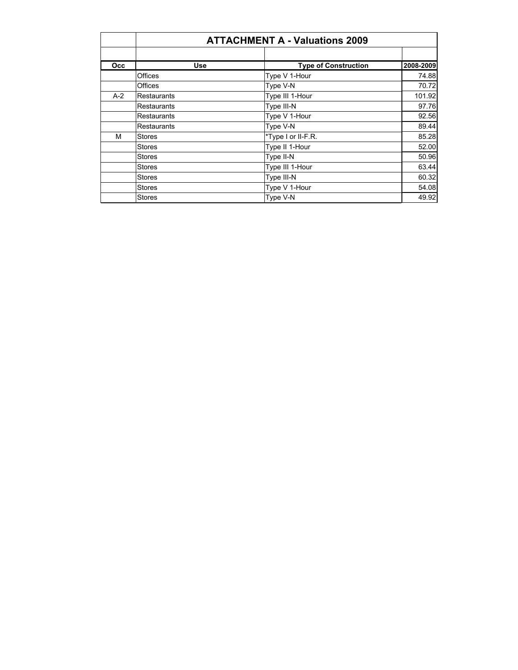|            | <b>ATTACHMENT A - Valuations 2009</b> |                             |           |  |  |
|------------|---------------------------------------|-----------------------------|-----------|--|--|
| <b>Occ</b> | Use                                   | <b>Type of Construction</b> | 2008-2009 |  |  |
|            | Offices                               | Type V 1-Hour               | 74.88     |  |  |
|            | Offices                               | Type V-N                    | 70.72     |  |  |
| $A-2$      | <b>Restaurants</b>                    | Type III 1-Hour             | 101.92    |  |  |
|            | <b>Restaurants</b>                    | Type III-N                  | 97.76     |  |  |
|            | <b>Restaurants</b>                    | Type V 1-Hour               | 92.56     |  |  |
|            | <b>Restaurants</b>                    | Type V-N                    | 89.44     |  |  |
| M          | Stores                                | *Type I or II-F.R.          | 85.28     |  |  |
|            | <b>Stores</b>                         | Type II 1-Hour              | 52.00     |  |  |
|            | <b>Stores</b>                         | Type II-N                   | 50.96     |  |  |
|            | <b>Stores</b>                         | Type III 1-Hour             | 63.44     |  |  |
|            | <b>Stores</b>                         | Type III-N                  | 60.32     |  |  |
|            | <b>Stores</b>                         | Type V 1-Hour               | 54.08     |  |  |
|            | <b>Stores</b>                         | Type V-N                    | 49.92     |  |  |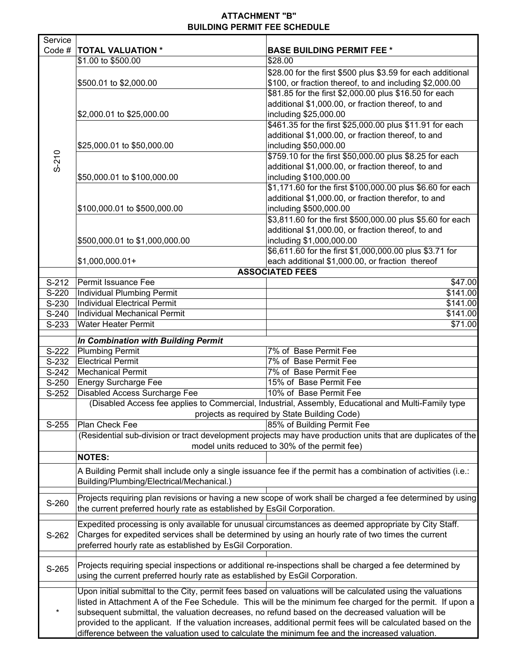## **ATTACHMENT "B" BUILDING PERMIT FEE SCHEDULE**

7

| Service                              |                                                                                                               |                                                                                                                 |  |  |  |  |
|--------------------------------------|---------------------------------------------------------------------------------------------------------------|-----------------------------------------------------------------------------------------------------------------|--|--|--|--|
| Code #                               | <b>TOTAL VALUATION *</b><br>\$1.00 to \$500.00                                                                | <b>BASE BUILDING PERMIT FEE *</b><br>\$28.00                                                                    |  |  |  |  |
|                                      |                                                                                                               | \$28.00 for the first \$500 plus \$3.59 for each additional                                                     |  |  |  |  |
|                                      | \$500.01 to \$2,000.00                                                                                        | \$100, or fraction thereof, to and including \$2,000.00                                                         |  |  |  |  |
|                                      |                                                                                                               | \$81.85 for the first \$2,000.00 plus \$16.50 for each                                                          |  |  |  |  |
|                                      |                                                                                                               | additional \$1,000.00, or fraction thereof, to and                                                              |  |  |  |  |
|                                      | \$2,000.01 to \$25,000.00                                                                                     | including \$25,000.00                                                                                           |  |  |  |  |
|                                      |                                                                                                               | \$461.35 for the first \$25,000.00 plus \$11.91 for each                                                        |  |  |  |  |
|                                      |                                                                                                               | additional \$1,000.00, or fraction thereof, to and                                                              |  |  |  |  |
|                                      | \$25,000.01 to \$50,000.00                                                                                    | including \$50,000.00                                                                                           |  |  |  |  |
| $S-210$                              |                                                                                                               | \$759.10 for the first \$50,000.00 plus \$8.25 for each                                                         |  |  |  |  |
|                                      |                                                                                                               | additional \$1,000.00, or fraction thereof, to and                                                              |  |  |  |  |
|                                      | \$50,000.01 to \$100,000.00                                                                                   | including \$100,000.00                                                                                          |  |  |  |  |
|                                      |                                                                                                               | \$1,171.60 for the first \$100,000.00 plus \$6.60 for each                                                      |  |  |  |  |
|                                      |                                                                                                               | additional \$1,000.00, or fraction therefor, to and                                                             |  |  |  |  |
|                                      | \$100,000.01 to \$500,000.00                                                                                  | including \$500,000.00                                                                                          |  |  |  |  |
|                                      |                                                                                                               | \$3,811.60 for the first \$500,000.00 plus \$5.60 for each                                                      |  |  |  |  |
|                                      |                                                                                                               | additional \$1,000.00, or fraction thereof, to and                                                              |  |  |  |  |
|                                      | \$500,000.01 to \$1,000,000.00                                                                                | including \$1,000,000.00                                                                                        |  |  |  |  |
|                                      |                                                                                                               | \$6,611.60 for the first \$1,000,000.00 plus \$3.71 for                                                         |  |  |  |  |
|                                      | $$1,000,000.01+$                                                                                              | each additional \$1,000.00, or fraction thereof                                                                 |  |  |  |  |
|                                      | Permit Issuance Fee                                                                                           | <b>ASSOCIATED FEES</b>                                                                                          |  |  |  |  |
| $S-212$<br>$\overline{\text{S-220}}$ | Individual Plumbing Permit                                                                                    | \$47.00<br>\$141.00                                                                                             |  |  |  |  |
| S-230                                | <b>Individual Electrical Permit</b>                                                                           | \$141.00                                                                                                        |  |  |  |  |
| S-240                                | Individual Mechanical Permit                                                                                  | \$141.00                                                                                                        |  |  |  |  |
| S-233                                | Water Heater Permit                                                                                           | \$71.00                                                                                                         |  |  |  |  |
|                                      |                                                                                                               |                                                                                                                 |  |  |  |  |
|                                      | In Combination with Building Permit                                                                           |                                                                                                                 |  |  |  |  |
| S-222                                | Plumbing Permit                                                                                               | 7% of Base Permit Fee                                                                                           |  |  |  |  |
| S-232                                | <b>Electrical Permit</b><br><b>Mechanical Permit</b>                                                          | 7% of Base Permit Fee<br>7% of Base Permit Fee                                                                  |  |  |  |  |
| $S-242$<br>S-250                     | <b>Energy Surcharge Fee</b>                                                                                   | 15% of Base Permit Fee                                                                                          |  |  |  |  |
| $S-252$                              | Disabled Access Surcharge Fee                                                                                 | 10% of Base Permit Fee                                                                                          |  |  |  |  |
|                                      |                                                                                                               | (Disabled Access fee applies to Commercial, Industrial, Assembly, Educational and Multi-Family type             |  |  |  |  |
|                                      |                                                                                                               | projects as required by State Building Code)                                                                    |  |  |  |  |
| S-255                                | Plan Check Fee                                                                                                | 85% of Building Permit Fee                                                                                      |  |  |  |  |
|                                      |                                                                                                               | (Residential sub-division or tract development projects may have production units that are duplicates of the    |  |  |  |  |
|                                      |                                                                                                               | model units reduced to 30% of the permit fee)                                                                   |  |  |  |  |
|                                      | <b>NOTES:</b>                                                                                                 |                                                                                                                 |  |  |  |  |
|                                      |                                                                                                               | A Building Permit shall include only a single issuance fee if the permit has a combination of activities (i.e.: |  |  |  |  |
|                                      | Building/Plumbing/Electrical/Mechanical.)                                                                     |                                                                                                                 |  |  |  |  |
|                                      |                                                                                                               |                                                                                                                 |  |  |  |  |
| S-260                                |                                                                                                               | Projects requiring plan revisions or having a new scope of work shall be charged a fee determined by using      |  |  |  |  |
|                                      | the current preferred hourly rate as established by EsGil Corporation.                                        |                                                                                                                 |  |  |  |  |
|                                      |                                                                                                               | Expedited processing is only available for unusual circumstances as deemed appropriate by City Staff.           |  |  |  |  |
| S-262                                | Charges for expedited services shall be determined by using an hourly rate of two times the current           |                                                                                                                 |  |  |  |  |
|                                      | preferred hourly rate as established by EsGil Corporation.                                                    |                                                                                                                 |  |  |  |  |
|                                      |                                                                                                               |                                                                                                                 |  |  |  |  |
| S-265                                |                                                                                                               | Projects requiring special inspections or additional re-inspections shall be charged a fee determined by        |  |  |  |  |
|                                      | using the current preferred hourly rate as established by EsGil Corporation.                                  |                                                                                                                 |  |  |  |  |
|                                      |                                                                                                               | Upon initial submittal to the City, permit fees based on valuations will be calculated using the valuations     |  |  |  |  |
|                                      |                                                                                                               | listed in Attachment A of the Fee Schedule. This will be the minimum fee charged for the permit. If upon a      |  |  |  |  |
|                                      | subsequent submittal, the valuation decreases, no refund based on the decreased valuation will be             |                                                                                                                 |  |  |  |  |
|                                      | provided to the applicant. If the valuation increases, additional permit fees will be calculated based on the |                                                                                                                 |  |  |  |  |
|                                      | difference between the valuation used to calculate the minimum fee and the increased valuation.               |                                                                                                                 |  |  |  |  |